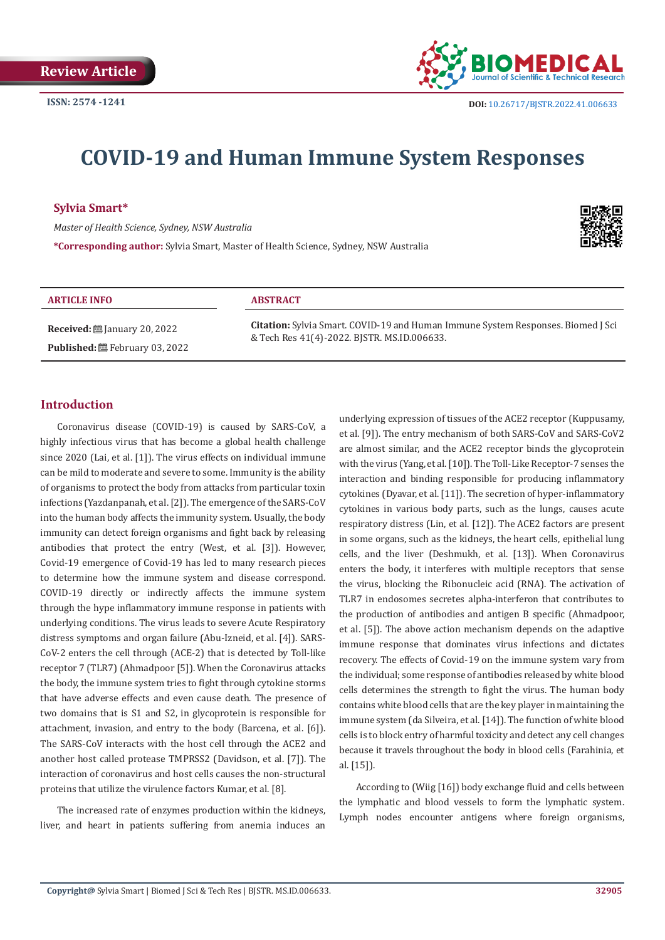

# **COVID-19 and Human Immune System Responses**

# **Sylvia Smart\***

*Master of Health Science, Sydney, NSW Australia* **\*Corresponding author:** Sylvia Smart, Master of Health Science, Sydney, NSW Australia



#### **ARTICLE INFO ABSTRACT**

**Received:** ■ January 20, 2022 Published: <sup>圖</sup> February 03, 2022

**Citation:** Sylvia Smart. COVID-19 and Human Immune System Responses. Biomed J Sci & Tech Res 41(4)-2022. BJSTR. MS.ID.006633.

# **Introduction**

Coronavirus disease (COVID-19) is caused by SARS-CoV, a highly infectious virus that has become a global health challenge since 2020 (Lai, et al. [1]). The virus effects on individual immune can be mild to moderate and severe to some. Immunity is the ability of organisms to protect the body from attacks from particular toxin infections (Yazdanpanah, et al. [2]). The emergence of the SARS-CoV into the human body affects the immunity system. Usually, the body immunity can detect foreign organisms and fight back by releasing antibodies that protect the entry (West, et al. [3]). However, Covid-19 emergence of Covid-19 has led to many research pieces to determine how the immune system and disease correspond. COVID-19 directly or indirectly affects the immune system through the hype inflammatory immune response in patients with underlying conditions. The virus leads to severe Acute Respiratory distress symptoms and organ failure (Abu-Izneid, et al. [4]). SARS-CoV-2 enters the cell through (ACE-2) that is detected by Toll-like receptor 7 (TLR7) (Ahmadpoor [5]). When the Coronavirus attacks the body, the immune system tries to fight through cytokine storms that have adverse effects and even cause death. The presence of two domains that is S1 and S2, in glycoprotein is responsible for attachment, invasion, and entry to the body (Barcena, et al. [6]). The SARS-CoV interacts with the host cell through the ACE2 and another host called protease TMPRSS2 (Davidson, et al. [7]). The interaction of coronavirus and host cells causes the non-structural proteins that utilize the virulence factors Kumar, et al. [8].

The increased rate of enzymes production within the kidneys, liver, and heart in patients suffering from anemia induces an

underlying expression of tissues of the ACE2 receptor (Kuppusamy, et al. [9]). The entry mechanism of both SARS-CoV and SARS-CoV2 are almost similar, and the ACE2 receptor binds the glycoprotein with the virus (Yang, et al. [10]). The Toll-Like Receptor-7 senses the interaction and binding responsible for producing inflammatory cytokines (Dyavar, et al. [11]). The secretion of hyper-inflammatory cytokines in various body parts, such as the lungs, causes acute respiratory distress (Lin, et al. [12]). The ACE2 factors are present in some organs, such as the kidneys, the heart cells, epithelial lung cells, and the liver (Deshmukh, et al. [13]). When Coronavirus enters the body, it interferes with multiple receptors that sense the virus, blocking the Ribonucleic acid (RNA). The activation of TLR7 in endosomes secretes alpha-interferon that contributes to the production of antibodies and antigen B specific (Ahmadpoor, et al. [5]). The above action mechanism depends on the adaptive immune response that dominates virus infections and dictates recovery. The effects of Covid-19 on the immune system vary from the individual; some response of antibodies released by white blood cells determines the strength to fight the virus. The human body contains white blood cells that are the key player in maintaining the immune system (da Silveira, et al. [14]). The function of white blood cells is to block entry of harmful toxicity and detect any cell changes because it travels throughout the body in blood cells (Farahinia, et al. [15]).

According to (Wiig [16]) body exchange fluid and cells between the lymphatic and blood vessels to form the lymphatic system. Lymph nodes encounter antigens where foreign organisms,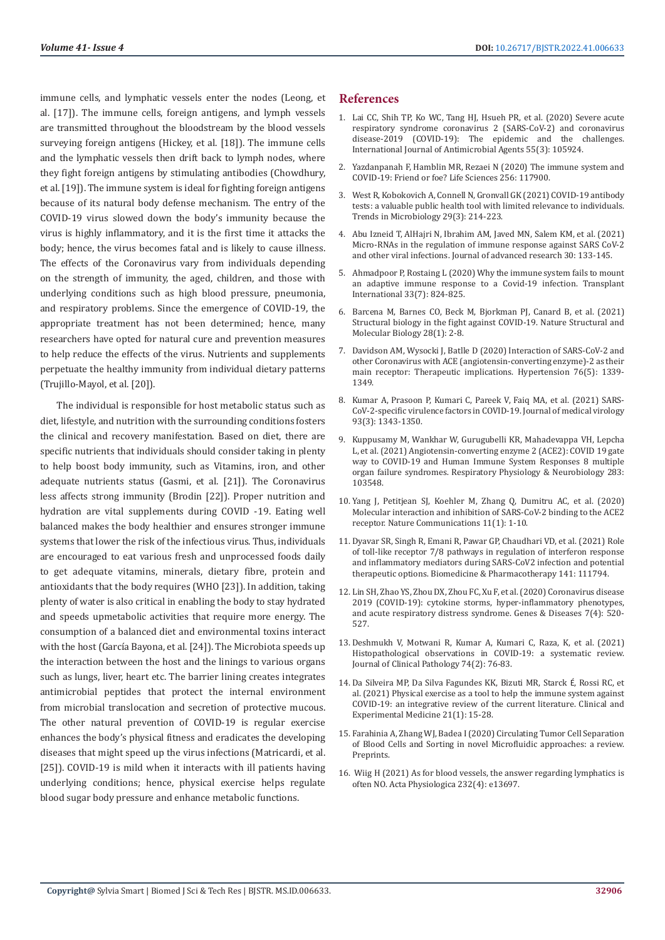immune cells, and lymphatic vessels enter the nodes (Leong, et al. [17]). The immune cells, foreign antigens, and lymph vessels are transmitted throughout the bloodstream by the blood vessels surveying foreign antigens (Hickey, et al. [18]). The immune cells and the lymphatic vessels then drift back to lymph nodes, where they fight foreign antigens by stimulating antibodies (Chowdhury, et al. [19]). The immune system is ideal for fighting foreign antigens because of its natural body defense mechanism. The entry of the COVID-19 virus slowed down the body's immunity because the virus is highly inflammatory, and it is the first time it attacks the body; hence, the virus becomes fatal and is likely to cause illness. The effects of the Coronavirus vary from individuals depending on the strength of immunity, the aged, children, and those with underlying conditions such as high blood pressure, pneumonia, and respiratory problems. Since the emergence of COVID-19, the appropriate treatment has not been determined; hence, many researchers have opted for natural cure and prevention measures to help reduce the effects of the virus. Nutrients and supplements perpetuate the healthy immunity from individual dietary patterns (Trujillo-Mayol, et al. [20]).

The individual is responsible for host metabolic status such as diet, lifestyle, and nutrition with the surrounding conditions fosters the clinical and recovery manifestation. Based on diet, there are specific nutrients that individuals should consider taking in plenty to help boost body immunity, such as Vitamins, iron, and other adequate nutrients status (Gasmi, et al. [21]). The Coronavirus less affects strong immunity (Brodin [22]). Proper nutrition and hydration are vital supplements during COVID -19. Eating well balanced makes the body healthier and ensures stronger immune systems that lower the risk of the infectious virus. Thus, individuals are encouraged to eat various fresh and unprocessed foods daily to get adequate vitamins, minerals, dietary fibre, protein and antioxidants that the body requires (WHO [23]). In addition, taking plenty of water is also critical in enabling the body to stay hydrated and speeds upmetabolic activities that require more energy. The consumption of a balanced diet and environmental toxins interact with the host (García Bayona, et al. [24]). The Microbiota speeds up the interaction between the host and the linings to various organs such as lungs, liver, heart etc. The barrier lining creates integrates antimicrobial peptides that protect the internal environment from microbial translocation and secretion of protective mucous. The other natural prevention of COVID-19 is regular exercise enhances the body's physical fitness and eradicates the developing diseases that might speed up the virus infections (Matricardi, et al. [25]). COVID-19 is mild when it interacts with ill patients having underlying conditions; hence, physical exercise helps regulate blood sugar body pressure and enhance metabolic functions.

# **References**

- 1. [Lai CC, Shih TP, Ko WC, Tang HJ, Hsueh PR, et al. \(2020\) Severe acute](https://pubmed.ncbi.nlm.nih.gov/32081636/) [respiratory syndrome coronavirus 2 \(SARS-CoV-2\) and coronavirus](https://pubmed.ncbi.nlm.nih.gov/32081636/) [disease-2019 \(COVID-19\): The epidemic and the challenges.](https://pubmed.ncbi.nlm.nih.gov/32081636/) [International Journal of Antimicrobial Agents 55\(3\): 105924.](https://pubmed.ncbi.nlm.nih.gov/32081636/)
- 2. [Yazdanpanah F, Hamblin MR, Rezaei N \(2020\) The immune system and](https://www.ncbi.nlm.nih.gov/labs/pmc/articles/PMC7266583/) [COVID-19: Friend or foe? Life Sciences 256: 117900.](https://www.ncbi.nlm.nih.gov/labs/pmc/articles/PMC7266583/)
- 3. [West R, Kobokovich A, Connell N, Gronvall GK \(2021\) COVID-19 antibody](https://pubmed.ncbi.nlm.nih.gov/33234439/) [tests: a valuable public health tool with limited relevance to individuals.](https://pubmed.ncbi.nlm.nih.gov/33234439/) [Trends in Microbiology 29\(3\): 214-223.](https://pubmed.ncbi.nlm.nih.gov/33234439/)
- 4. [Abu Izneid T, AlHajri N, Ibrahim AM, Javed MN, Salem KM, et al. \(2021\)](https://pubmed.ncbi.nlm.nih.gov/33282419/) [Micro-RNAs in the regulation of immune response against SARS CoV-2](https://pubmed.ncbi.nlm.nih.gov/33282419/) [and other viral infections. Journal of advanced research 30: 133-145.](https://pubmed.ncbi.nlm.nih.gov/33282419/)
- 5. [Ahmadpoor P, Rostaing L \(2020\) Why the immune system fails to mount](https://pubmed.ncbi.nlm.nih.gov/32236983/) [an adaptive immune response to a Covid-19 infection. Transplant](https://pubmed.ncbi.nlm.nih.gov/32236983/) [International 33\(7\): 824-825.](https://pubmed.ncbi.nlm.nih.gov/32236983/)
- 6. [Barcena M, Barnes CO, Beck M, Bjorkman PJ, Canard B, et al. \(2021\)](https://pubmed.ncbi.nlm.nih.gov/33437043/) [Structural biology in the fight against COVID-19. Nature Structural and](https://pubmed.ncbi.nlm.nih.gov/33437043/) [Molecular Biology 28\(1\): 2-8.](https://pubmed.ncbi.nlm.nih.gov/33437043/)
- 7. [Davidson AM, Wysocki J, Batlle D \(2020\) Interaction of SARS-CoV-2 and](https://pubmed.ncbi.nlm.nih.gov/32851855/) [other Coronavirus with ACE \(angiotensin-converting enzyme\)-2 as their](https://pubmed.ncbi.nlm.nih.gov/32851855/) [main receptor: Therapeutic implications. Hypertension 76\(5\): 1339-](https://pubmed.ncbi.nlm.nih.gov/32851855/) [1349.](https://pubmed.ncbi.nlm.nih.gov/32851855/)
- 8. Kumar A, Prasoon P, Kumari C, Pareek V, Faiq MA, et al. (2021) SARS-CoV-2-specific virulence factors in COVID-19. Journal of medical virology 93(3): 1343-1350.
- 9. [Kuppusamy M, Wankhar W, Gurugubelli KR, Mahadevappa VH, Lepcha](https://pubmed.ncbi.nlm.nih.gov/32956843/) [L, et al. \(2021\) Angiotensin-converting enzyme 2 \(ACE2\): COVID 19 gate](https://pubmed.ncbi.nlm.nih.gov/32956843/) [way to COVID-19 and Human Immune System Responses 8 multiple](https://pubmed.ncbi.nlm.nih.gov/32956843/) [organ failure syndromes. Respiratory Physiology & Neurobiology 283:](https://pubmed.ncbi.nlm.nih.gov/32956843/) [103548.](https://pubmed.ncbi.nlm.nih.gov/32956843/)
- 10. [Yang J, Petitjean SJ, Koehler M, Zhang Q, Dumitru AC, et al. \(2020\)](https://pubmed.ncbi.nlm.nih.gov/32917884/) [Molecular interaction and inhibition of SARS-CoV-2 binding to the ACE2](https://pubmed.ncbi.nlm.nih.gov/32917884/) [receptor. Nature Communications 11\(1\): 1-10.](https://pubmed.ncbi.nlm.nih.gov/32917884/)
- 11. Dyavar SR, Singh R, Emani R, Pawar GP, Chaudhari VD, et al. (2021) Role of toll-like receptor 7/8 pathways in regulation of interferon response and inflammatory mediators during SARS-CoV2 infection and potential therapeutic options. Biomedicine & Pharmacotherapy 141: 111794.
- 12. Lin SH, Zhao YS, Zhou DX, Zhou FC, Xu F, et al. (2020) Coronavirus disease 2019 (COVID-19): cytokine storms, hyper-inflammatory phenotypes, and acute respiratory distress syndrome. Genes & Diseases 7(4): 520- 527.
- 13. [Deshmukh V, Motwani R, Kumar A, Kumari C, Raza, K, et al. \(2021\)](https://pubmed.ncbi.nlm.nih.gov/32817204/) [Histopathological observations in COVID-19: a systematic review.](https://pubmed.ncbi.nlm.nih.gov/32817204/) [Journal of Clinical Pathology 74\(2\): 76-83.](https://pubmed.ncbi.nlm.nih.gov/32817204/)
- 14. [Da Silveira MP, Da Silva Fagundes KK, Bizuti MR, Starck](https://www.ncbi.nlm.nih.gov/labs/pmc/articles/PMC7387807/) É, Rossi RC, et [al. \(2021\) Physical exercise as a tool to help the immune system against](https://www.ncbi.nlm.nih.gov/labs/pmc/articles/PMC7387807/) [COVID-19: an integrative review of the current literature. Clinical and](https://www.ncbi.nlm.nih.gov/labs/pmc/articles/PMC7387807/) [Experimental Medicine 21\(1\): 15-28.](https://www.ncbi.nlm.nih.gov/labs/pmc/articles/PMC7387807/)
- 15. Farahinia A, Zhang WJ, Badea I (2020) Circulating Tumor Cell Separation of Blood Cells and Sorting in novel Microfluidic approaches: a review. Preprints.
- 16. [Wiig H \(2021\) As for blood vessels, the answer regarding lymphatics is](https://pubmed.ncbi.nlm.nih.gov/34057826/) [often NO. Acta Physiologica 232\(4\): e13697.](https://pubmed.ncbi.nlm.nih.gov/34057826/)